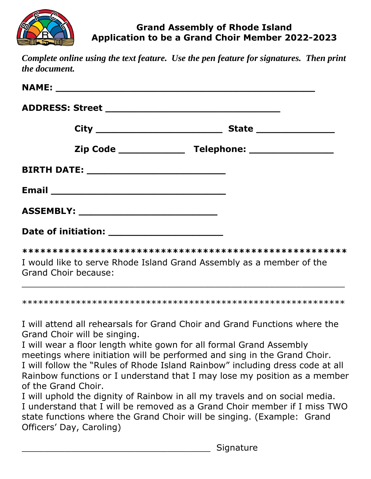

| Complete online using the text feature. Use the pen feature for signatures. Then print |  |
|----------------------------------------------------------------------------------------|--|
| the document.                                                                          |  |

|  | I would like to serve Rhode Island Grand Assembly as a member of the |
|--|----------------------------------------------------------------------|

Grand Choir because:

\*\*\*\*\*\*\*\*\*\*\*\*\*\*\*\*\*\*\*\*\*\*\*\*\*\*\*\*\*\*\*\*\*\*\*\*\*\*\*\*\*\*\*\*\*\*\*\*\*\*\*\*\*\*\*\*\*\*\*\*

\_\_\_\_\_\_\_\_\_\_\_\_\_\_\_\_\_\_\_\_\_\_\_\_\_\_\_\_\_\_\_\_\_\_\_\_\_\_\_\_\_\_\_\_\_\_\_\_\_\_\_\_\_\_\_\_\_\_\_\_

I will attend all rehearsals for Grand Choir and Grand Functions where the Grand Choir will be singing.

I will wear a floor length white gown for all formal Grand Assembly meetings where initiation will be performed and sing in the Grand Choir. I will follow the "Rules of Rhode Island Rainbow" including dress code at all Rainbow functions or I understand that I may lose my position as a member of the Grand Choir.

I will uphold the dignity of Rainbow in all my travels and on social media. I understand that I will be removed as a Grand Choir member if I miss TWO state functions where the Grand Choir will be singing. (Example: Grand Officers' Day, Caroling)